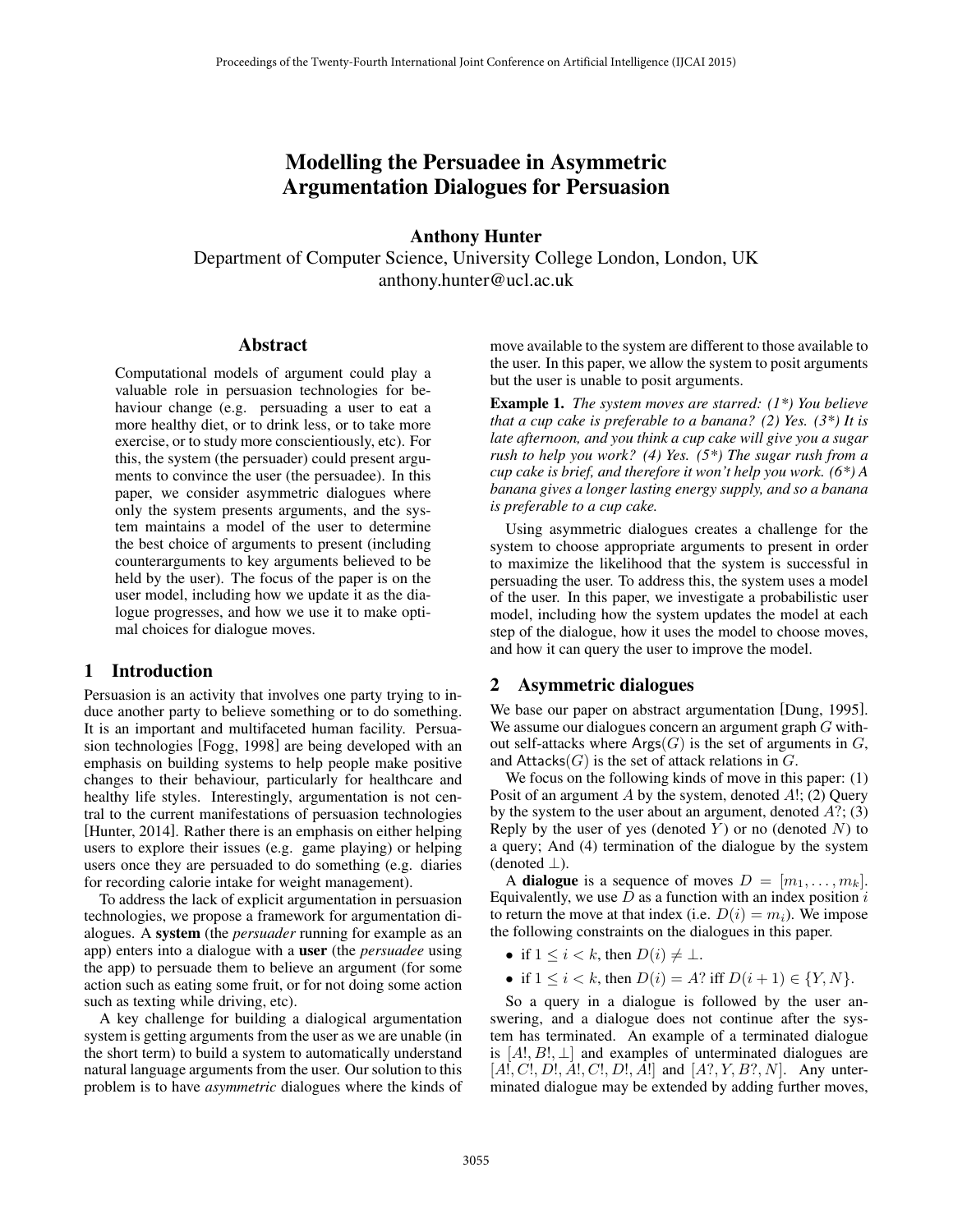# Modelling the Persuadee in Asymmetric Argumentation Dialogues for Persuasion

## Anthony Hunter

Department of Computer Science, University College London, London, UK anthony.hunter@ucl.ac.uk

#### Abstract

Computational models of argument could play a valuable role in persuasion technologies for behaviour change (e.g. persuading a user to eat a more healthy diet, or to drink less, or to take more exercise, or to study more conscientiously, etc). For this, the system (the persuader) could present arguments to convince the user (the persuadee). In this paper, we consider asymmetric dialogues where only the system presents arguments, and the system maintains a model of the user to determine the best choice of arguments to present (including counterarguments to key arguments believed to be held by the user). The focus of the paper is on the user model, including how we update it as the dialogue progresses, and how we use it to make optimal choices for dialogue moves.

# 1 Introduction

Persuasion is an activity that involves one party trying to induce another party to believe something or to do something. It is an important and multifaceted human facility. Persuasion technologies [Fogg, 1998] are being developed with an emphasis on building systems to help people make positive changes to their behaviour, particularly for healthcare and healthy life styles. Interestingly, argumentation is not central to the current manifestations of persuasion technologies [Hunter, 2014]. Rather there is an emphasis on either helping users to explore their issues (e.g. game playing) or helping users once they are persuaded to do something (e.g. diaries for recording calorie intake for weight management).

To address the lack of explicit argumentation in persuasion technologies, we propose a framework for argumentation dialogues. A system (the *persuader* running for example as an app) enters into a dialogue with a user (the *persuadee* using the app) to persuade them to believe an argument (for some action such as eating some fruit, or for not doing some action such as texting while driving, etc).

A key challenge for building a dialogical argumentation system is getting arguments from the user as we are unable (in the short term) to build a system to automatically understand natural language arguments from the user. Our solution to this problem is to have *asymmetric* dialogues where the kinds of

move available to the system are different to those available to the user. In this paper, we allow the system to posit arguments but the user is unable to posit arguments.

Example 1. *The system moves are starred: (1\*) You believe that a cup cake is preferable to a banana? (2) Yes. (3\*) It is late afternoon, and you think a cup cake will give you a sugar rush to help you work? (4) Yes. (5\*) The sugar rush from a cup cake is brief, and therefore it won't help you work. (6\*) A banana gives a longer lasting energy supply, and so a banana is preferable to a cup cake.*

Using asymmetric dialogues creates a challenge for the system to choose appropriate arguments to present in order to maximize the likelihood that the system is successful in persuading the user. To address this, the system uses a model of the user. In this paper, we investigate a probabilistic user model, including how the system updates the model at each step of the dialogue, how it uses the model to choose moves, and how it can query the user to improve the model.

# 2 Asymmetric dialogues

We base our paper on abstract argumentation [Dung, 1995]. We assume our dialogues concern an argument graph G without self-attacks where  $Arg(G)$  is the set of arguments in  $G$ , and  $Attacks(G)$  is the set of attack relations in  $G$ .

We focus on the following kinds of move in this paper: (1) Posit of an argument  $A$  by the system, denoted  $A!$ ; (2) Query by the system to the user about an argument, denoted  $A$ ?; (3) Reply by the user of yes (denoted  $Y$ ) or no (denoted  $N$ ) to a query; And (4) termination of the dialogue by the system (denoted  $\perp$ ).

A **dialogue** is a sequence of moves  $D = [m_1, \ldots, m_k]$ . Equivalently, we use  $D$  as a function with an index position  $i$ to return the move at that index (i.e.  $D(i) = m_i$ ). We impose the following constraints on the dialogues in this paper.

- if  $1 \leq i < k$ , then  $D(i) \neq \perp$ .
- if  $1 \le i \le k$ , then  $D(i) = A$ ? iff  $D(i + 1) \in \{Y, N\}$ .

So a query in a dialogue is followed by the user answering, and a dialogue does not continue after the system has terminated. An example of a terminated dialogue is  $[A!, B!, \perp]$  and examples of unterminated dialogues are  $[A, C!, D!, A!, C!, D!, A!]$  and  $[A?, Y, B?, N]$ . Any unterminated dialogue may be extended by adding further moves,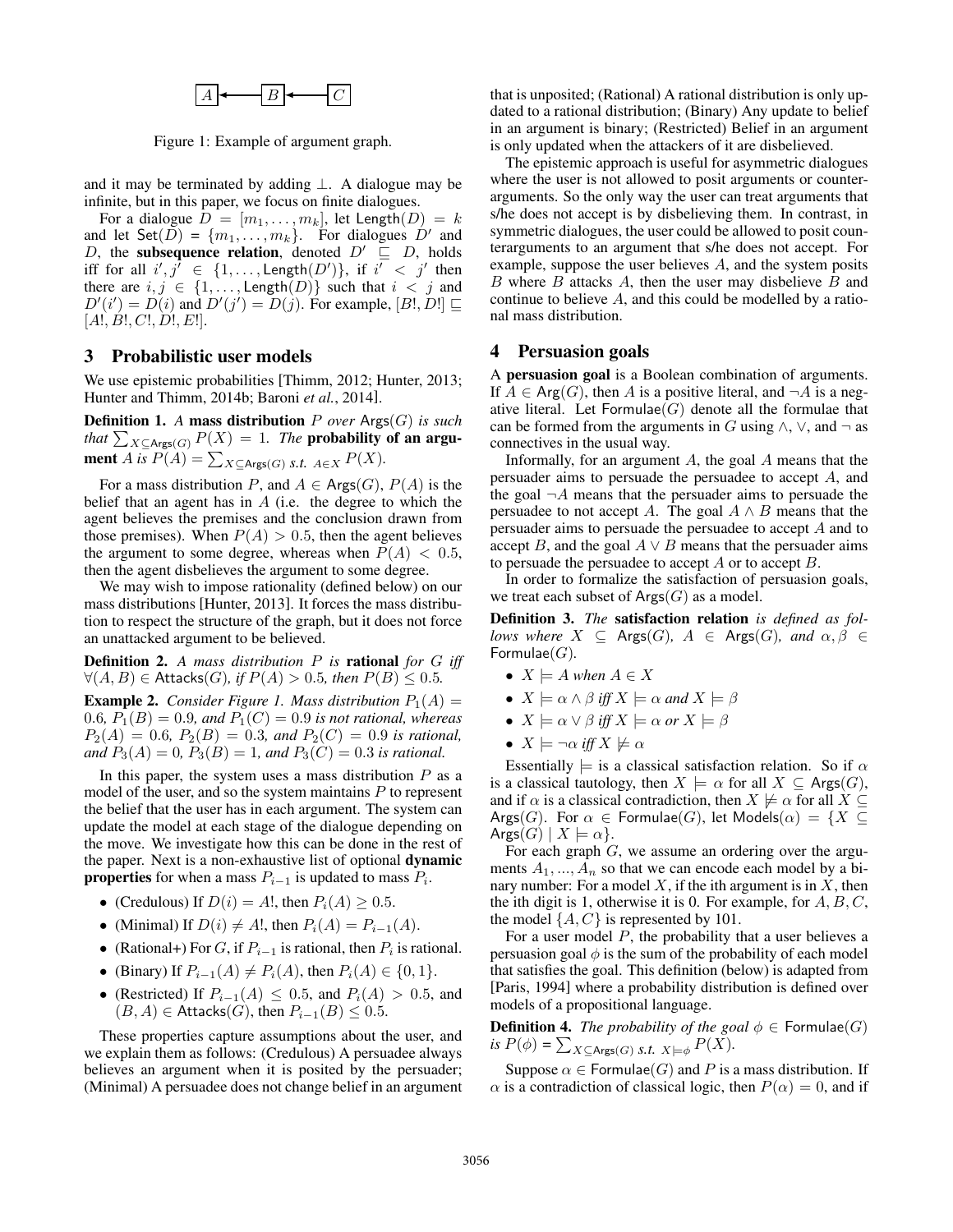$$
\boxed{A} \longleftarrow \boxed{B} \longleftarrow \boxed{C}
$$

Figure 1: Example of argument graph.

and it may be terminated by adding  $\perp$ . A dialogue may be infinite, but in this paper, we focus on finite dialogues.

For a dialogue  $D = [m_1, \ldots, m_k]$ , let Length $(D) = k$ and let Set $(D) = \{m_1, \ldots, m_k\}$ . For dialogues  $D'$  and D, the subsequence relation, denoted  $D' \subseteq D$ , holds iff for all  $i', j' \in \{1, \ldots, \text{Length}(D')\}$ , if  $i' < j'$  then there are  $i, j \in \{1, \ldots, \text{Length}(D)\}\$  such that  $i < j$  and  $D'(i') = D(i)$  and  $D'(j') = D(j)$ . For example, [B!, D!]  $\sqsubseteq$  $[A!, B!, C!, D!, E!]$ .

## 3 Probabilistic user models

We use epistemic probabilities [Thimm, 2012; Hunter, 2013; Hunter and Thimm, 2014b; Baroni *et al.*, 2014].

Definition 1. *A* mass distribution P *over* Args(G) *is such that*  $\sum_{X \subseteq \text{Args}(G)} P(X) = 1$ *. The* probability of an argument *A* is  $P(A) = \sum_{X \subseteq \text{Args}(G)} s.t.$   $A \in X$   $P(X)$ .

For a mass distribution P, and  $A \in \text{Args}(G)$ ,  $P(A)$  is the belief that an agent has in  $A$  (i.e. the degree to which the agent believes the premises and the conclusion drawn from those premises). When  $P(A) > 0.5$ , then the agent believes the argument to some degree, whereas when  $P(A) < 0.5$ , then the agent disbelieves the argument to some degree.

We may wish to impose rationality (defined below) on our mass distributions [Hunter, 2013]. It forces the mass distribution to respect the structure of the graph, but it does not force an unattacked argument to be believed.

Definition 2. *A mass distribution* P *is* rational *for* G *iff*  $∀(A, B) ∈$  Attacks(*G*)*,* if  $P(A) > 0.5$ *, then*  $P(B) ≤ 0.5$ *.* 

**Example 2.** *Consider Figure 1. Mass distribution*  $P_1(A) =$ 0.6*,*  $P_1(B) = 0.9$ *, and*  $P_1(C) = 0.9$  *is not rational, whereas*  $P_2(A) = 0.6$ ,  $P_2(B) = 0.3$ , and  $P_2(C) = 0.9$  *is rational*, *and*  $P_3(A) = 0$ ,  $P_3(B) = 1$ , and  $P_3(C) = 0.3$  *is rational.* 

In this paper, the system uses a mass distribution  $P$  as a model of the user, and so the system maintains  $P$  to represent the belief that the user has in each argument. The system can update the model at each stage of the dialogue depending on the move. We investigate how this can be done in the rest of the paper. Next is a non-exhaustive list of optional dynamic **properties** for when a mass  $P_{i-1}$  is updated to mass  $P_i$ .

- (Credulous) If  $D(i) = A!$ , then  $P_i(A) \geq 0.5$ .
- (Minimal) If  $D(i) \neq A!$ , then  $P_i(A) = P_{i-1}(A)$ .
- (Rational+) For G, if  $P_{i-1}$  is rational, then  $P_i$  is rational.
- (Binary) If  $P_{i-1}(A) \neq P_i(A)$ , then  $P_i(A) \in \{0, 1\}$ .
- (Restricted) If  $P_{i-1}(A) \leq 0.5$ , and  $P_i(A) > 0.5$ , and  $(B, A) \in$  Attacks $(G)$ , then  $P_{i-1}(B) \leq 0.5$ .

These properties capture assumptions about the user, and we explain them as follows: (Credulous) A persuadee always believes an argument when it is posited by the persuader; (Minimal) A persuadee does not change belief in an argument that is unposited; (Rational) A rational distribution is only updated to a rational distribution; (Binary) Any update to belief in an argument is binary; (Restricted) Belief in an argument is only updated when the attackers of it are disbelieved.

The epistemic approach is useful for asymmetric dialogues where the user is not allowed to posit arguments or counterarguments. So the only way the user can treat arguments that s/he does not accept is by disbelieving them. In contrast, in symmetric dialogues, the user could be allowed to posit counterarguments to an argument that s/he does not accept. For example, suppose the user believes A, and the system posits B where  $B$  attacks  $A$ , then the user may disbelieve  $B$  and continue to believe A, and this could be modelled by a rational mass distribution.

#### 4 Persuasion goals

A persuasion goal is a Boolean combination of arguments. If  $A \in \text{Arg}(G)$ , then A is a positive literal, and  $\neg A$  is a negative literal. Let  $Formulae(G)$  denote all the formulae that can be formed from the arguments in G using  $\land$ ,  $\lor$ , and  $\neg$  as connectives in the usual way.

Informally, for an argument  $A$ , the goal  $A$  means that the persuader aims to persuade the persuadee to accept A, and the goal  $\neg A$  means that the persuader aims to persuade the persuadee to not accept A. The goal  $A \wedge B$  means that the persuader aims to persuade the persuadee to accept A and to accept B, and the goal  $A \vee B$  means that the persuader aims to persuade the persuadee to accept A or to accept B.

In order to formalize the satisfaction of persuasion goals, we treat each subset of  $Args(G)$  as a model.

Definition 3. *The* satisfaction relation *is defined as follows where*  $X \subseteq \text{Args}(G)$ ,  $A \in \text{Args}(G)$ , and  $\alpha, \beta \in$ Formulae(G)*.*

- $X \models A$  *when*  $A \in X$
- $X \models \alpha \land \beta$  *iff*  $X \models \alpha$  *and*  $X \models \beta$
- $X \models \alpha \lor \beta$  *iff*  $X \models \alpha$  *or*  $X \models \beta$
- $X \models \neg \alpha$  *iff*  $X \not\models \alpha$

Essentially  $\models$  is a classical satisfaction relation. So if  $\alpha$ is a classical tautology, then  $X \models \alpha$  for all  $X \subseteq \text{Args}(G)$ , and if  $\alpha$  is a classical contradiction, then  $X \not\models \alpha$  for all  $X \subseteq$ Args(G). For  $\alpha \in \text{Formulae}(G)$ , let Models $(\alpha) = \{X \subseteq$ Args $(G)$  |  $X \models \alpha$  }.

For each graph  $G$ , we assume an ordering over the arguments  $A_1, ..., A_n$  so that we can encode each model by a binary number: For a model  $X$ , if the ith argument is in  $X$ , then the ith digit is 1, otherwise it is 0. For example, for  $A, B, C$ , the model  $\{A, C\}$  is represented by 101.

For a user model  $P$ , the probability that a user believes a persuasion goal  $\phi$  is the sum of the probability of each model that satisfies the goal. This definition (below) is adapted from [Paris, 1994] where a probability distribution is defined over models of a propositional language.

**Definition 4.** *The probability of the goal*  $\phi \in$  Formulae(G) *is*  $P(\phi) = \sum_{X \subseteq \text{Args}(G)} s.t.$   $X \models \phi P(X)$ .

Suppose  $\alpha \in \text{Formulae}(G)$  and P is a mass distribution. If  $\alpha$  is a contradiction of classical logic, then  $P(\alpha) = 0$ , and if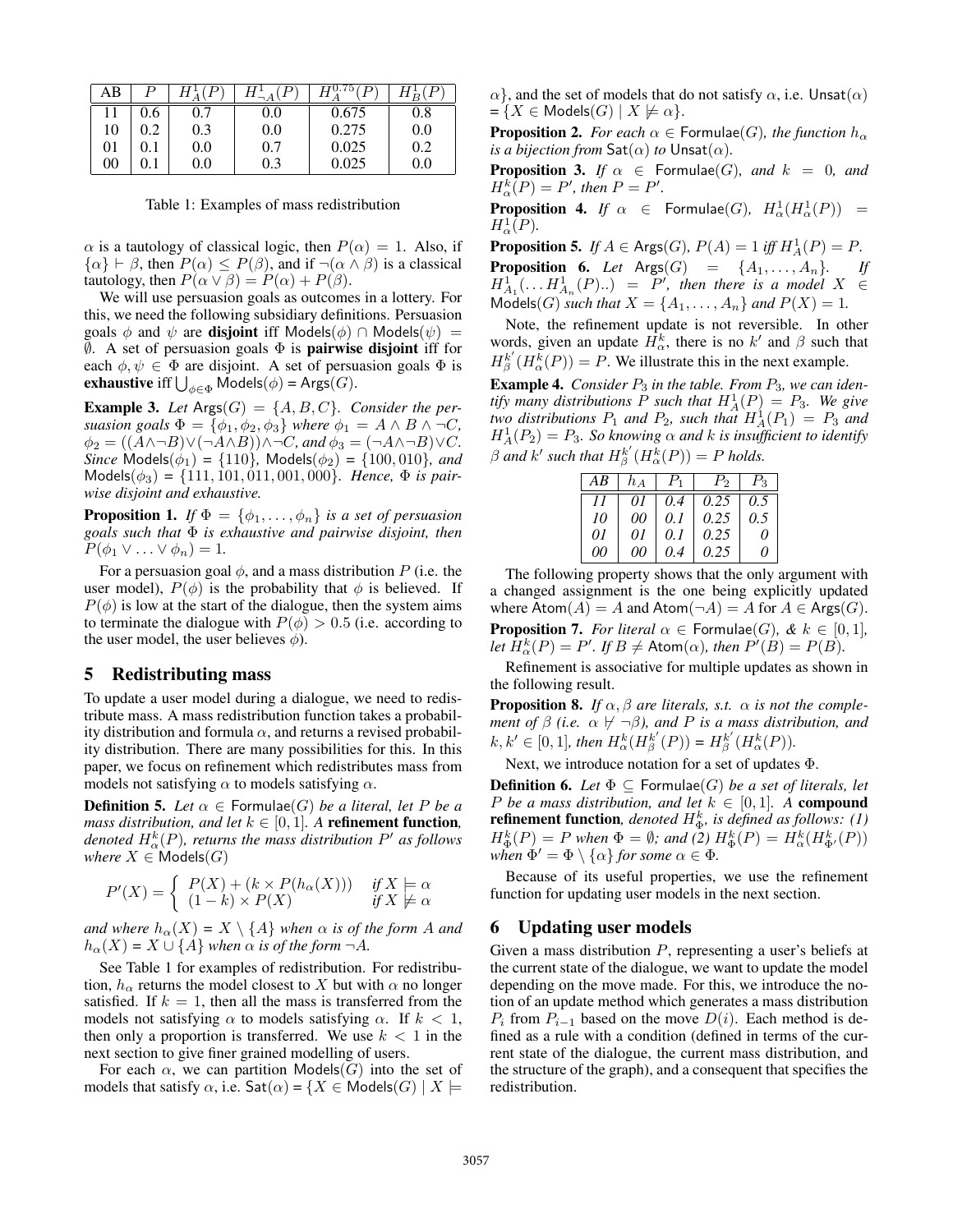| AВ |     |         |     |       | Ρ   |
|----|-----|---------|-----|-------|-----|
|    | U.6 | 0.7     | 0.0 | 0.675 | 0.8 |
| 10 |     | 0.3     | 0.0 | 0.275 | 0.0 |
| 01 |     | $0.0\,$ | 0.7 | 0.025 | 0.2 |
| 00 |     | $0.0\,$ | 0.3 | 0.025 | 0.0 |

Table 1: Examples of mass redistribution

 $\alpha$  is a tautology of classical logic, then  $P(\alpha) = 1$ . Also, if  $\{\alpha\} \vdash \beta$ , then  $P(\alpha) \leq P(\beta)$ , and if  $\neg(\alpha \land \beta)$  is a classical tautology, then  $P(\alpha \vee \beta) = P(\alpha) + P(\beta)$ .

We will use persuasion goals as outcomes in a lottery. For this, we need the following subsidiary definitions. Persuasion goals  $\phi$  and  $\psi$  are **disjoint** iff Models( $\phi$ ) ∩ Models( $\psi$ ) =  $\emptyset$ . A set of persuasion goals  $\Phi$  is **pairwise disjoint** iff for each  $\phi, \psi \in \Phi$  are disjoint. A set of persuasion goals  $\Phi$  is **exhaustive** iff  $\bigcup_{\phi \in \Phi}$  Models $(\phi)$  = Args $(G)$ .

**Example 3.** Let  $\text{Arg}(G) = \{A, B, C\}$ . Consider the per*suasion goals*  $\Phi = {\phi_1, \phi_2, \phi_3}$  *where*  $\phi_1 = A \wedge B \wedge \neg C$ *,*  $\phi_2 = ((\overrightarrow{A} \wedge \neg B) \vee (\neg A \wedge B)) \wedge \neg C$ *, and*  $\phi_3 = (\neg A \wedge \neg B) \vee C$ *. Since* Models( $\phi_1$ ) = {110}*,* Models( $\phi_2$ ) = {100*,* 010*}<i>,* and  $\text{Models}(\phi_3) = \{111, 101, 011, 001, 000\}$ *. Hence,*  $\Phi$  *is pairwise disjoint and exhaustive.*

**Proposition 1.** *If*  $\Phi = {\phi_1, \ldots, \phi_n}$  *is a set of persuasion goals such that* Φ *is exhaustive and pairwise disjoint, then*  $P(\phi_1 \vee \ldots \vee \phi_n) = 1.$ 

For a persuasion goal  $\phi$ , and a mass distribution P (i.e. the user model),  $P(\phi)$  is the probability that  $\phi$  is believed. If  $P(\phi)$  is low at the start of the dialogue, then the system aims to terminate the dialogue with  $P(\phi) > 0.5$  (i.e. according to the user model, the user believes  $\phi$ ).

## 5 Redistributing mass

To update a user model during a dialogue, we need to redistribute mass. A mass redistribution function takes a probability distribution and formula  $\alpha$ , and returns a revised probability distribution. There are many possibilities for this. In this paper, we focus on refinement which redistributes mass from models not satisfying  $\alpha$  to models satisfying  $\alpha$ .

**Definition 5.** Let  $\alpha \in$  Formulae(G) *be a literal, let* P *be a mass distribution, and let*  $k \in [0, 1]$ *. A refinement function,* denoted  $H^k_\alpha(P)$ , returns the mass distribution  $P'$  as follows *where*  $X \in \textsf{Models}(G)$ 

$$
P'(X) = \begin{cases} P(X) + (k \times P(h_{\alpha}(X))) & \text{if } X \models \alpha \\ (1 - k) \times P(X) & \text{if } X \not\models \alpha \end{cases}
$$

*and where*  $h_{\alpha}(X) = X \setminus \{A\}$  *when*  $\alpha$  *is of the form* A *and*  $h_{\alpha}(X) = X \cup \{A\}$  *when*  $\alpha$  *is of the form*  $\neg A$ *.* 

See Table 1 for examples of redistribution. For redistribution,  $h_{\alpha}$  returns the model closest to X but with  $\alpha$  no longer satisfied. If  $k = 1$ , then all the mass is transferred from the models not satisfying  $\alpha$  to models satisfying  $\alpha$ . If  $k < 1$ , then only a proportion is transferred. We use  $k < 1$  in the next section to give finer grained modelling of users.

For each  $\alpha$ , we can partition Models(G) into the set of models that satisfy  $\alpha$ , i.e.  $\mathsf{Sat}(\alpha) = \{X \in \mathsf{Models}(G) \mid X \models$   $\alpha$ , and the set of models that do not satisfy  $\alpha$ , i.e. Unsat $(\alpha)$  $=\{X \in \text{Models}(G) \mid X \not\models \alpha\}.$ 

**Proposition 2.** *For each*  $\alpha \in$  Formulae(G), the function  $h_{\alpha}$ *is a bijection from*  $\mathsf{Sat}(\alpha)$  *to*  $\mathsf{Unsat}(\alpha)$ *.* 

**Proposition 3.** *If*  $\alpha \in$  Formulae(G), and  $k = 0$ , and  $H_{\alpha}^{k}(P) = P'$ , then  $P = P'$ .

**Proposition 4.** If  $\alpha \in$  Formulae(G),  $H^1_\alpha(H^1_\alpha(P)) =$  $H^1_\alpha(P)$ .

**Proposition 5.** *If*  $A \in \text{Args}(G)$ ,  $P(A) = 1$  *iff*  $H_A^1(P) = P$ . **Proposition 6.** Let  $\text{A} \text{rgs}(G) = \{A_1, \ldots, A_n\}$ . If  $H^1_{A_1}(\ldots H^1_{A_n}(P) \ldots) = P'$ , then there is a model  $X \in$ Models(*G*) *such that*  $X = \{A_1, ..., A_n\}$  *and*  $P(X) = 1$ *.* 

Note, the refinement update is not reversible. In other words, given an update  $H^k_{\alpha}$ , there is no k' and  $\beta$  such that  $H_{\beta}^{k'}(H_{\alpha}^{k}(P)) = P$ . We illustrate this in the next example.

Example 4. *Consider*  $P_3$  *in the table. From*  $P_3$ *, we can identify many distributions*  $P$  *such that*  $H_A^1(P) = P_3$ *. We give two distributions*  $P_1$  *and*  $P_2$ *, such that*  $H_A^1(P_1) = P_3$  *and*  $H_A^1(P_2) = P_3$ . So knowing  $\alpha$  and k is insufficient to identify  $\beta$  and  $k'$  such that  $H_{\beta}^{k'}(H_{\alpha}^{k}(P)) = P$  holds.

| AВ | $h_A$ |       | $\mathcal{L}_{\mathcal{D}}$ | $\mathcal{L}_Q$ |
|----|-------|-------|-----------------------------|-----------------|
|    | 01    | 0.4   | 0.25                        | 0.5             |
| 10 | 00    | 0.1   | 0.25                        | 0.5             |
| 01 | 01    | 0.1   | 0.25                        | O               |
| 00 | 00    | (0.4) | 0.25                        | ( I             |

The following property shows that the only argument with a changed assignment is the one being explicitly updated where  $\text{Atom}(A) = A$  and  $\text{Atom}(\neg A) = A$  for  $A \in \text{Args}(G)$ . **Proposition 7.** *For literal*  $\alpha \in$  Formulae(G),  $\&$   $k \in [0, 1]$ , *let*  $\overline{H}^k_\alpha(P) = P'.$  *If*  $B \neq$  Atom $(\alpha)$ *, then*  $P'(B) = P(B)$ *.* 

Refinement is associative for multiple updates as shown in the following result.

**Proposition 8.** *If*  $\alpha$ ,  $\beta$  *are literals, s.t.*  $\alpha$  *is not the complement of*  $\beta$  *(i.e.*  $\alpha \not\vdash \neg \beta$ *), and P is a mass distribution, and*  $k, k' \in [0, 1]$ , then  $H^k_{\alpha}(H^k_{\beta}(P)) = H^{k'}_{\beta}(H^k_{\alpha}(P)).$ 

Next, we introduce notation for a set of updates Φ.

**Definition 6.** Let  $\Phi \subseteq$  Formulae(G) *be a set of literals, let P be a mass distribution, and let*  $k \in [0,1]$ *. A compound* **refinement function**, denoted  $H^k_{\Phi}$ , is defined as follows: (1)  $H_{\Phi}^{k}(P) = P$  when  $\Phi = \emptyset$ ; and (2)  $H_{\Phi}^{k}(P) = H_{\alpha}^{k}(H_{\Phi}^{k}(P))$ when  $\Phi' = \Phi \setminus \{ \alpha \}$  for some  $\alpha \in \Phi$ .

Because of its useful properties, we use the refinement function for updating user models in the next section.

#### 6 Updating user models

Given a mass distribution  $P$ , representing a user's beliefs at the current state of the dialogue, we want to update the model depending on the move made. For this, we introduce the notion of an update method which generates a mass distribution  $P_i$  from  $P_{i-1}$  based on the move  $D(i)$ . Each method is defined as a rule with a condition (defined in terms of the current state of the dialogue, the current mass distribution, and the structure of the graph), and a consequent that specifies the redistribution.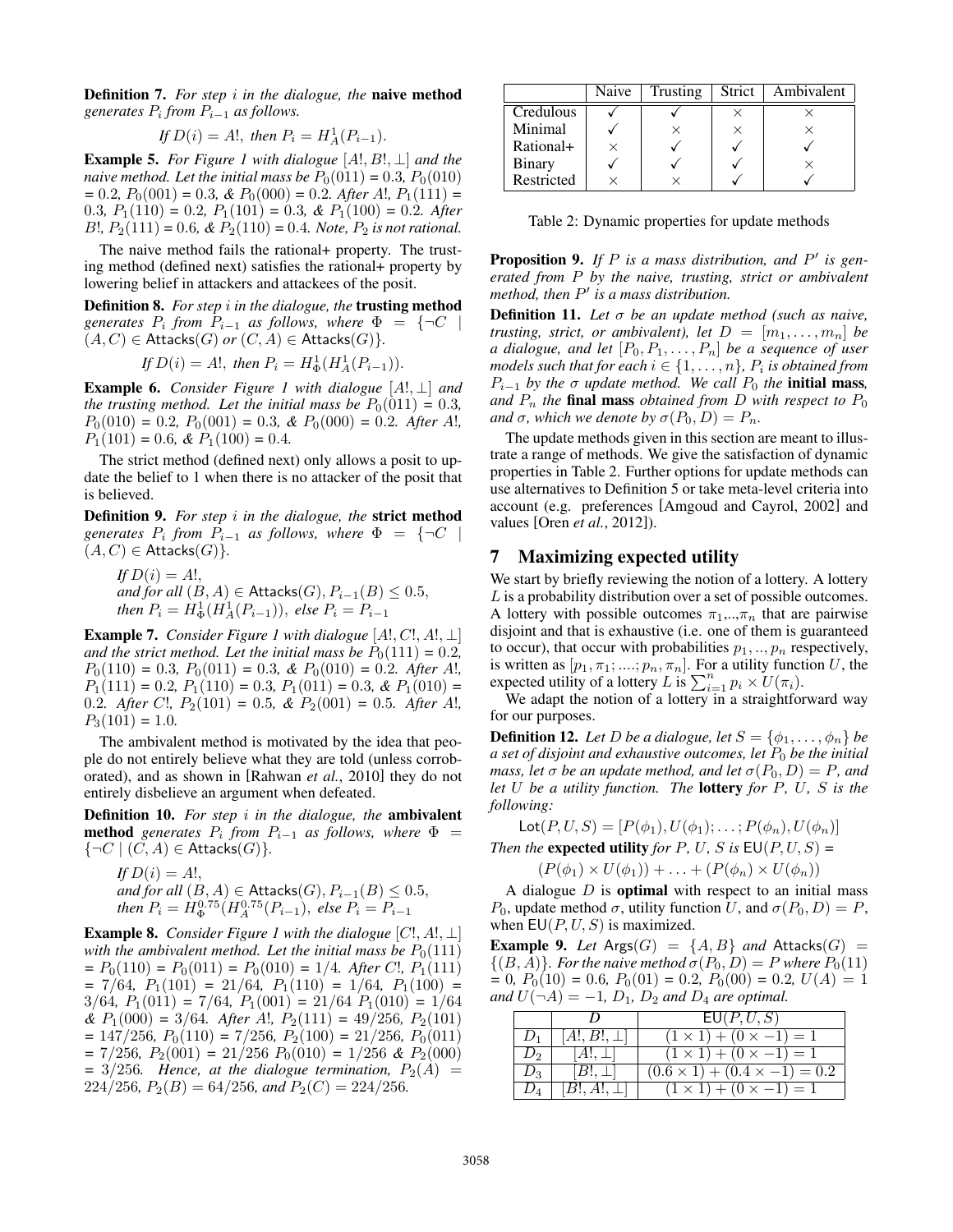Definition 7. *For step* i *in the dialogue, the* naive method *generates* P<sup>i</sup> *from* Pi−<sup>1</sup> *as follows.*

If 
$$
D(i) = A!
$$
, then  $P_i = H_A^1(P_{i-1})$ .

Example 5. *For Figure 1 with dialogue* [A!, B!, ⊥] *and the naive method. Let the initial mass be*  $P_0(011) = 0.3$ ,  $P_0(010)$  $= 0.2, P_0(001) = 0.3, \& P_0(000) = 0.2$ *. After A!, P*<sub>1</sub>(111) = 0.3*,*  $P_1(110) = 0.2$ *,*  $P_1(101) = 0.3$ *,* &  $P_1(100) = 0.2$ *. After*  $B!$ ,  $P_2(111) = 0.6$ , &  $P_2(110) = 0.4$ *. Note,*  $P_2$  *is not rational.* 

The naive method fails the rational+ property. The trusting method (defined next) satisfies the rational+ property by lowering belief in attackers and attackees of the posit.

Definition 8. *For step* i *in the dialogue, the* trusting method  $generates$   $P_i$  from  $P_{i-1}$  as follows, where  $\Phi = \{\neg C \mid$  $(A, C) \in$  Attacks $(G)$  *or*  $(C, A) \in$  Attacks $(G)$ }.

If 
$$
D(i) = A!
$$
, then  $P_i = H^1_{\Phi}(H^1_A(P_{i-1})).$ 

Example 6. *Consider Figure 1 with dialogue* [A!, ⊥] *and the trusting method. Let the initial mass be*  $P_0(011) = 0.3$ *,*  $P_0(010) = 0.2$ ,  $P_0(001) = 0.3$ , &  $P_0(000) = 0.2$ . After A!,  $P_1(101) = 0.6$ , &  $P_1(100) = 0.4$ .

The strict method (defined next) only allows a posit to update the belief to 1 when there is no attacker of the posit that is believed.

Definition 9. *For step* i *in the dialogue, the* strict method  $generates$   $P_i$  from  $P_{i-1}$  as follows, where  $\Phi = \{\neg C \mid$  $(A, C) \in$  Attacks $(G)$ .

*If*  $D(i) = A!$ , *and for all*  $(B, A) \in$  Attacks $(G), P_{i-1}(B) \leq 0.5$ , *then*  $P_i = H_{\Phi}^1(H_A^1(P_{i-1}))$ , *else*  $P_i = P_{i-1}$ 

Example 7. *Consider Figure 1 with dialogue* [A!, C!, A!, ⊥] *and the strict method. Let the initial mass be*  $P_0(111) = 0.2$ *,*  $P_0(110) = 0.3$ ,  $P_0(011) = 0.3$ , &  $P_0(010) = 0.2$ . After A!,  $P_1(111) = 0.2$ ,  $P_1(110) = 0.3$ ,  $P_1(011) = 0.3$ , &  $P_1(010) =$ 0.2*.* After C!,  $P_2(101) = 0.5$ , &  $P_2(001) = 0.5$ *. After A!,*  $P_3(101) = 1.0$ .

The ambivalent method is motivated by the idea that people do not entirely believe what they are told (unless corroborated), and as shown in [Rahwan *et al.*, 2010] they do not entirely disbelieve an argument when defeated.

Definition 10. *For step* i *in the dialogue, the* ambivalent **method** generates  $P_i$  from  $P_{i-1}$  as follows, where  $\Phi$  =  $\{\neg C \mid (C, A) \in \text{Attacks}(G)\}.$ 

If 
$$
D(i) = A!
$$
,  
and for all  $(B, A) \in$  Attacks $(G), P_{i-1}(B) \le 0.5$ ,  
then  $P_i = H_{\Phi}^{0.75}(H_A^{0.75}(P_{i-1}),$  else  $P_i = P_{i-1}$ 

**Example 8.** *Consider Figure 1 with the dialogue*  $[C!, A!, \perp]$ *with the ambivalent method. Let the initial mass be*  $P_0(111)$  $= P_0(110) = P_0(011) = P_0(010) = 1/4$ *. After C!, P*<sub>1</sub>(111)  $= 7/64$ ,  $P_1(101) = 21/64$ ,  $P_1(110) = 1/64$ ,  $P_1(100) = 1/64$  $3/64$ ,  $P_1(011) = 7/64$ ,  $P_1(001) = 21/64$ ,  $P_1(010) = 1/64$  $\&$   $P_1(000) = 3/64$ *. After A!,*  $P_2(111) = 49/256$ *,*  $P_2(101)$  $= 147/256$ ,  $P_0(110) = 7/256$ ,  $P_2(100) = 21/256$ ,  $P_0(011)$  $= 7/256$ ,  $P_2(001) = 21/256$   $P_0(010) = 1/256$  &  $P_2(000)$  $=3/256$ . Hence, at the dialogue termination,  $P_2(A)$  =  $224/256$ ,  $P_2(B) = 64/256$ , and  $P_2(C) = 224/256$ .

|               | Naive | Trusting | Strict | Ambivalent |
|---------------|-------|----------|--------|------------|
| Credulous     |       |          |        |            |
| Minimal       |       |          |        |            |
| Rational+     |       |          |        |            |
| <b>Binary</b> |       |          |        |            |
| Restricted    |       |          |        |            |

Table 2: Dynamic properties for update methods

Proposition 9. If P is a mass distribution, and P' is gen*erated from* P *by the naive, trusting, strict or ambivalent method, then* P 0 *is a mass distribution.*

Definition 11. *Let* σ *be an update method (such as naive, trusting, strict, or ambivalent), let*  $D = [m_1, \ldots, m_n]$  *be a dialogue, and let*  $[P_0, P_1, \ldots, P_n]$  *be a sequence of user* models such that for each  $i \in \{1, \ldots, n\}$ ,  $P_i$  is obtained from  $P_{i-1}$  by the  $\sigma$  *update method.* We call  $P_0$  the **initial mass**, and  $P_n$  the **final mass** obtained from D with respect to  $P_0$ *and*  $\sigma$ *, which we denote by*  $\sigma(P_0, D) = P_n$ *.* 

The update methods given in this section are meant to illustrate a range of methods. We give the satisfaction of dynamic properties in Table 2. Further options for update methods can use alternatives to Definition 5 or take meta-level criteria into account (e.g. preferences [Amgoud and Cayrol, 2002] and values [Oren *et al.*, 2012]).

#### 7 Maximizing expected utility

We start by briefly reviewing the notion of a lottery. A lottery L is a probability distribution over a set of possible outcomes. A lottery with possible outcomes  $\pi_1, \ldots, \pi_n$  that are pairwise disjoint and that is exhaustive (i.e. one of them is guaranteed to occur), that occur with probabilities  $p_1, \ldots, p_n$  respectively, is written as  $[p_1, \pi_1; \dots; p_n, \pi_n]$ . For a utility function U, the expected utility of a lottery L is  $\sum_{i=1}^{n} p_i \times U(\pi_i)$ .

We adapt the notion of a lottery in a straightforward way for our purposes.

**Definition 12.** Let D be a dialogue, let  $S = \{\phi_1, \ldots, \phi_n\}$  be *a set of disjoint and exhaustive outcomes, let*  $P_0$  *be the initial mass, let*  $\sigma$  *be an update method, and let*  $\sigma(P_0, D) = P$ *, and let* U *be a utility function. The* lottery *for* P*,* U*,* S *is the following:*

 $\textsf{Lot}(P, U, S) = [P(\phi_1), U(\phi_1); \dots; P(\phi_n), U(\phi_n)]$ *Then the* **expected utility** *for*  $P$ *,*  $U$ *,*  $S$  *is*  $EU(P, U, S) =$  $(P(\phi_1) \times U(\phi_1)) + \ldots + (P(\phi_n) \times U(\phi_n))$ 

A dialogue  $D$  is **optimal** with respect to an initial mass P<sub>0</sub>, update method  $\sigma$ , utility function U, and  $\sigma(P_0, D) = P$ , when  $EU(P, U, S)$  is maximized.

**Example 9.** Let  $\text{Arg}(G) = \{A, B\}$  and  $\text{Attacks}(G) =$  $\{(B, A)\}\$ *. For the naive method*  $\sigma(P_0, D) = P$  *where*  $P_0(11)$  $= 0$ ,  $P_0(10) = 0.6$ ,  $P_0(01) = 0.2$ ,  $P_0(00) = 0.2$ ,  $U(A) = 1$ *and*  $U(\neg A) = -1$ ,  $D_1$ ,  $D_2$  *and*  $D_4$  *are optimal.* 

|       |                  | $\overline{\mathsf{EU}(P}, U, S)$        |
|-------|------------------|------------------------------------------|
|       | $ A , B , \perp$ | $(1 \times 1) + (0 \times -1) = 1$       |
|       | $(A!, \perp)$    | $(1 \times 1) + (0 \times -1) = 1$       |
| $D_3$ | $(B!, \perp)$    | $(0.6 \times 1) + (0.4 \times -1) = 0.2$ |
|       | $ B , A!, \perp$ | $(1 \times 1) + (0 \times -1) = 1$       |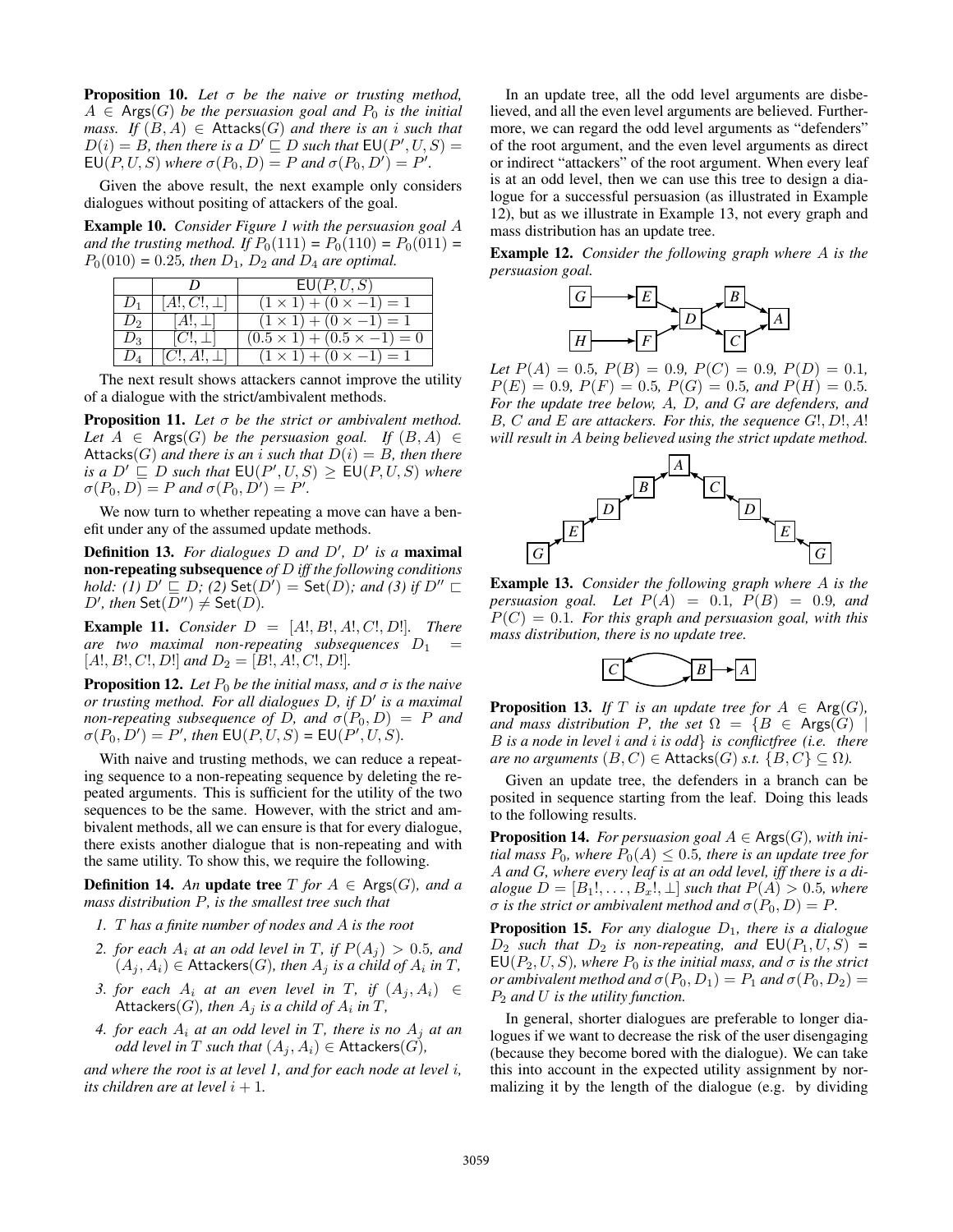Proposition 10. *Let* σ *be the naive or trusting method,*  $A \in \text{Args}(G)$  *be the persuasion goal and*  $P_0$  *is the initial mass.* If  $(B, A) \in$  Attacks $(G)$  *and there is an i such that*  $D(i) = B$ , then there is a  $D' \sqsubseteq D$  such that  $EU(P', U, S) =$  $\mathsf{EU}(P,U,S)$  *where*  $\sigma(P_0,D) = P$  *and*  $\sigma(P_0,D') = P'.$ 

Given the above result, the next example only considers dialogues without positing of attackers of the goal.

Example 10. *Consider Figure 1 with the persuasion goal* A *and the trusting method. If*  $P_0(111) = P_0(110) = P_0(011) =$  $P_0(010) = 0.25$ , then  $D_1$ ,  $D_2$  and  $D_4$  are optimal.

|       |                  | EU(P, U, S)                            |
|-------|------------------|----------------------------------------|
|       | $[A!,C!,\perp]$  | $(1 \times 1) + (0 \times -1) = 1$     |
| $D_2$ | $[A!, \perp]$    | $(1 \times 1) + (0 \times -1) = 1$     |
| $D_3$ | $[C!, \perp]$    | $(0.5 \times 1) + (0.5 \times -1) = 0$ |
|       | $ C , A!, \perp$ | $(1 \times 1) + (0 \times -1) = 1$     |

The next result shows attackers cannot improve the utility of a dialogue with the strict/ambivalent methods.

Proposition 11. *Let* σ *be the strict or ambivalent method. Let*  $A \in \text{Args}(G)$  *be the persuasion goal.* If  $(B, A) \in$ Attacks(G) and there is an *i* such that  $D(i) = B$ , then there *is a*  $D' \subseteq D$  *such that*  $\text{EU}(P', U, S) \geq \text{EU}(P, U, S)$  *where*  $\sigma(P_0, D) = P$  and  $\sigma(P_0, D') = P'.$ 

We now turn to whether repeating a move can have a benefit under any of the assumed update methods.

Definition 13. For dialogues D and D', D' is a maximal non-repeating subsequence *of* D *iff the following conditions hold:* (1)  $D' \sqsubseteq D$ ; (2)  $\mathsf{Set}(D') = \mathsf{Set}(D)$ ; and (3) if  $D'' \sqsubset$  $D'$ , then  $\mathsf{Set}(D'') \neq \mathsf{Set}(D)$ .

**Example 11.** *Consider*  $D = [A!, B!, A!, C!, D!]$ *. There are two maximal non-repeating subsequences*  $D_1$  =  $[A!, B!, C!, D!]$  and  $D_2 = [B!, A!, C!, D!]$ .

**Proposition 12.** *Let*  $P_0$  *be the initial mass, and*  $\sigma$  *is the naive or trusting method. For all dialogues D, if D' is a maximal non-repeating subsequence of D, and*  $\sigma(P_0, D) = P$  *and*  $\sigma(P_0, D') = P'$ , then  $\text{EU}(P, U, S) = \text{EU}(P', U, S)$ .

With naive and trusting methods, we can reduce a repeating sequence to a non-repeating sequence by deleting the repeated arguments. This is sufficient for the utility of the two sequences to be the same. However, with the strict and ambivalent methods, all we can ensure is that for every dialogue, there exists another dialogue that is non-repeating and with the same utility. To show this, we require the following.

**Definition 14.** An update tree  $T$  *for*  $A \in \text{Args}(G)$ *, and a mass distribution* P*, is the smallest tree such that*

- *1.* T *has a finite number of nodes and* A *is the root*
- 2. for each  $A_i$  at an odd level in T, if  $P(A_i) > 0.5$ , and  $(A_j, A_i) \in$  Attackers $(G)$ *, then*  $A_j$  *is a child of*  $A_i$  *in*  $T$ *,*
- *3. for each*  $A_i$  *at an even level in* T, *if*  $(A_j, A_i) \in$  $\mathsf{Attackers}(G)$ *, then*  $A_j$  *is a child of*  $A_i$  *in*  $T$ *,*
- 4. for each  $A_i$  at an odd level in T, there is no  $A_i$  at an *odd level in* T *such that*  $(A_i, A_i) \in$  Attackers(G),

*and where the root is at level 1, and for each node at level* i*, its children are at level*  $i + 1$ *.* 

In an update tree, all the odd level arguments are disbelieved, and all the even level arguments are believed. Furthermore, we can regard the odd level arguments as "defenders" of the root argument, and the even level arguments as direct or indirect "attackers" of the root argument. When every leaf is at an odd level, then we can use this tree to design a dialogue for a successful persuasion (as illustrated in Example 12), but as we illustrate in Example 13, not every graph and mass distribution has an update tree.

Example 12. *Consider the following graph where* A *is the persuasion goal.*



*Let*  $P(A) = 0.5$ ,  $P(B) = 0.9$ ,  $P(C) = 0.9$ ,  $P(D) = 0.1$ ,  $P(E) = 0.9$ ,  $P(F) = 0.5$ ,  $P(G) = 0.5$ , and  $P(H) = 0.5$ . *For the update tree below,* A*,* D*, and* G *are defenders, and* B*,* C *and* E *are attackers. For this, the sequence* G!, D!, A! *will result in* A *being believed using the strict update method.*



Example 13. *Consider the following graph where* A *is the persuasion goal.* Let  $P(A) = 0.1$ ,  $P(B) = 0.9$ *, and* P(C) = 0.1*. For this graph and persuasion goal, with this mass distribution, there is no update tree.*



**Proposition 13.** *If* T *is an update tree for*  $A \in \text{Arg}(G)$ , *and mass distribution* P, the set  $\Omega = \{B \in \text{Args}(G) \mid \text{Args}(G) \}$ B *is a node in level* i *and* i *is odd*} *is conflictfree (i.e. there are no arguments*  $(B, C) \in$  Attacks $(G)$  *s.t.*  $\{B, C\} \subseteq \Omega$ *).* 

Given an update tree, the defenders in a branch can be posited in sequence starting from the leaf. Doing this leads to the following results.

**Proposition 14.** For persuasion goal  $A \in \text{Args}(G)$ , with ini*tial mass*  $P_0$ *, where*  $P_0(A) \leq 0.5$ *, there is an update tree for* A *and* G*, where every leaf is at an odd level, iff there is a dialogue*  $D = [B_1!, \ldots, B_x!, \perp]$  *such that*  $P(A) > 0.5$ *, where*  $\sigma$  *is the strict or ambivalent method and*  $\sigma(P_0, D) = P$ *.* 

**Proposition 15.** For any dialogue  $D_1$ , there is a dialogue  $D_2$  *such that*  $D_2$  *is non-repeating, and*  $EU(P_1, U, S) =$  $EU(P_2, U, S)$ *, where*  $P_0$  *is the initial mass, and*  $\sigma$  *is the strict or ambivalent method and*  $\sigma(P_0, D_1) = P_1$  *and*  $\sigma(P_0, D_2) =$ P<sup>2</sup> *and* U *is the utility function.*

In general, shorter dialogues are preferable to longer dialogues if we want to decrease the risk of the user disengaging (because they become bored with the dialogue). We can take this into account in the expected utility assignment by normalizing it by the length of the dialogue (e.g. by dividing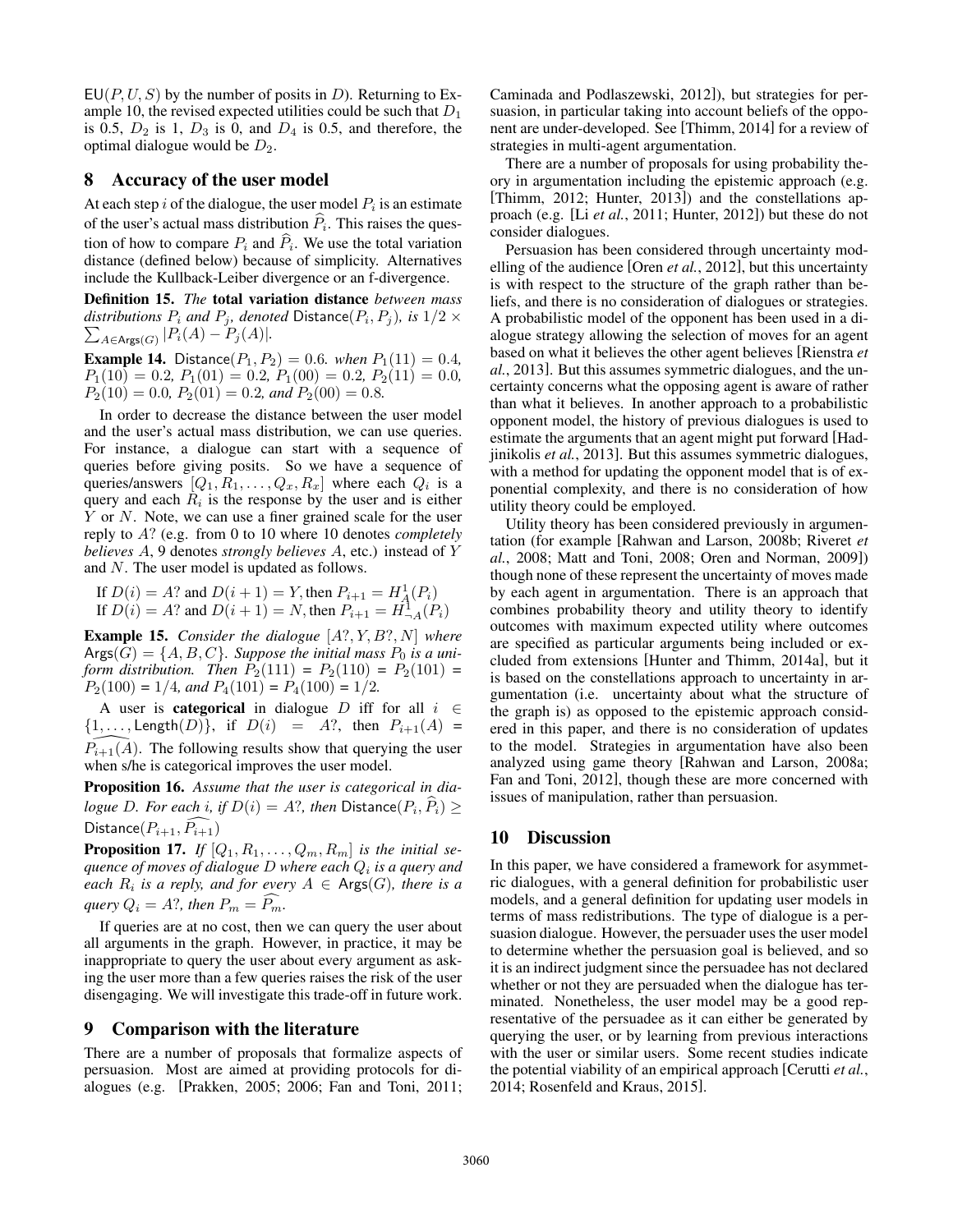$EU(P, U, S)$  by the number of posits in D). Returning to Example 10, the revised expected utilities could be such that  $D_1$ is 0.5,  $D_2$  is 1,  $D_3$  is 0, and  $D_4$  is 0.5, and therefore, the optimal dialogue would be  $D_2$ .

#### 8 Accuracy of the user model

At each step i of the dialogue, the user model  $P_i$  is an estimate of the user's actual mass distribution  $P_i$ . This raises the question of how to compare  $P_i$  and  $P_i$ . We use the total variation distance (defined below) because of simplicity. Alternatives include the Kullback-Leiber divergence or an f-divergence.

Definition 15. *The* total variation distance *between mass*  $distributions\ P_i\ and\ P_j\ \ denoted\ \mathsf{Distance}(P_i,P_j)\ \ is\ 1/2\times 1$  $\sum_{A \in \mathsf{Args}(G)} |P_i(A) - P_j(A)|.$ 

**Example 14.** Distance $(P_1, P_2) = 0.6$ *. when*  $P_1(11) = 0.4$ *,*  $P_1(10) = 0.2, P_1(01) = 0.2, P_1(00) = 0.2, P_2(11) = 0.0,$  $P_2(10) = 0.0$ ,  $P_2(01) = 0.2$ , and  $P_2(00) = 0.8$ .

In order to decrease the distance between the user model and the user's actual mass distribution, we can use queries. For instance, a dialogue can start with a sequence of queries before giving posits. So we have a sequence of queries/answers  $[Q_1, R_1, \ldots, Q_x, R_x]$  where each  $Q_i$  is a query and each  $R_i$  is the response by the user and is either Y or N. Note, we can use a finer grained scale for the user reply to A? (e.g. from 0 to 10 where 10 denotes *completely believes* A, 9 denotes *strongly believes* A, etc.) instead of Y and N. The user model is updated as follows.

If 
$$
D(i) = A
$$
? and  $D(i + 1) = Y$ , then  $P_{i+1} = H_A^1(P_i)$   
If  $D(i) = A$ ? and  $D(i + 1) = N$ , then  $P_{i+1} = H_{-A}^1(P_i)$ 

Example 15. *Consider the dialogue* [A?, Y, B?, N] *where*  $\text{Args}(G) = \{A, B, C\}$ *. Suppose the initial mass*  $P_0$  *is a uniform distribution. Then*  $P_2(111) = P_2(110) = P_2(101) =$  $P_2(100) = 1/4$ *, and*  $P_4(101) = P_4(100) = 1/2$ .

A user is **categorical** in dialogue D iff for all  $i \in$  ${1, \ldots, \text{Length}(D)}$ , if  $D(i) = A$ ?, then  $P_{i+1}(A) =$  $P_{i+1}(A)$ . The following results show that querying the user when s/he is categorical improves the user model.

Proposition 16. *Assume that the user is categorical in dialogue* D. For each *i*, if  $D(i) = A$ ?, then  $D$ istance $(P_i, P_i) \ge$ Distance $(P_{i+1}, P_{i+1})$ 

**Proposition 17.** If  $[Q_1, R_1, \ldots, Q_m, R_m]$  *is the initial sequence of moves of dialogue* D *where each* Q<sup>i</sup> *is a query and each*  $R_i$  *is a reply, and for every*  $A \in \text{Args}(G)$ *, there is a query*  $Q_i = A$ ?, then  $P_m = P_m$ .

If queries are at no cost, then we can query the user about all arguments in the graph. However, in practice, it may be inappropriate to query the user about every argument as asking the user more than a few queries raises the risk of the user disengaging. We will investigate this trade-off in future work.

#### 9 Comparison with the literature

There are a number of proposals that formalize aspects of persuasion. Most are aimed at providing protocols for dialogues (e.g. [Prakken, 2005; 2006; Fan and Toni, 2011; Caminada and Podlaszewski, 2012]), but strategies for persuasion, in particular taking into account beliefs of the opponent are under-developed. See [Thimm, 2014] for a review of strategies in multi-agent argumentation.

There are a number of proposals for using probability theory in argumentation including the epistemic approach (e.g. [Thimm, 2012; Hunter, 2013]) and the constellations approach (e.g. [Li *et al.*, 2011; Hunter, 2012]) but these do not consider dialogues.

Persuasion has been considered through uncertainty modelling of the audience [Oren *et al.*, 2012], but this uncertainty is with respect to the structure of the graph rather than beliefs, and there is no consideration of dialogues or strategies. A probabilistic model of the opponent has been used in a dialogue strategy allowing the selection of moves for an agent based on what it believes the other agent believes [Rienstra *et al.*, 2013]. But this assumes symmetric dialogues, and the uncertainty concerns what the opposing agent is aware of rather than what it believes. In another approach to a probabilistic opponent model, the history of previous dialogues is used to estimate the arguments that an agent might put forward [Hadjinikolis *et al.*, 2013]. But this assumes symmetric dialogues, with a method for updating the opponent model that is of exponential complexity, and there is no consideration of how utility theory could be employed.

Utility theory has been considered previously in argumentation (for example [Rahwan and Larson, 2008b; Riveret *et al.*, 2008; Matt and Toni, 2008; Oren and Norman, 2009]) though none of these represent the uncertainty of moves made by each agent in argumentation. There is an approach that combines probability theory and utility theory to identify outcomes with maximum expected utility where outcomes are specified as particular arguments being included or excluded from extensions [Hunter and Thimm, 2014a], but it is based on the constellations approach to uncertainty in argumentation (i.e. uncertainty about what the structure of the graph is) as opposed to the epistemic approach considered in this paper, and there is no consideration of updates to the model. Strategies in argumentation have also been analyzed using game theory [Rahwan and Larson, 2008a; Fan and Toni, 2012], though these are more concerned with issues of manipulation, rather than persuasion.

# 10 Discussion

In this paper, we have considered a framework for asymmetric dialogues, with a general definition for probabilistic user models, and a general definition for updating user models in terms of mass redistributions. The type of dialogue is a persuasion dialogue. However, the persuader uses the user model to determine whether the persuasion goal is believed, and so it is an indirect judgment since the persuadee has not declared whether or not they are persuaded when the dialogue has terminated. Nonetheless, the user model may be a good representative of the persuadee as it can either be generated by querying the user, or by learning from previous interactions with the user or similar users. Some recent studies indicate the potential viability of an empirical approach [Cerutti *et al.*, 2014; Rosenfeld and Kraus, 2015].